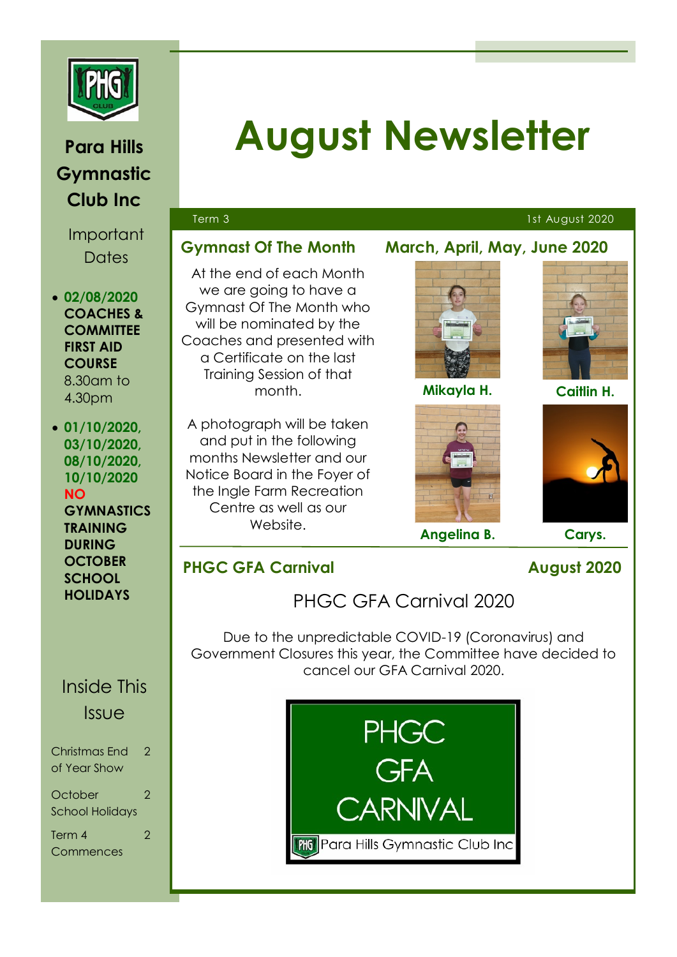

# **Para Hills Gymnastic Club Inc**

Important **Dates** 

- **02/08/2020 COACHES & COMMITTEE FIRST AID COURSE**  8.30am to 4.30pm
- **01/10/2020, 03/10/2020, 08/10/2020, 10/10/2020 NO GYMNASTICS TRAINING DURING OCTOBER SCHOOL HOLIDAYS**

# Inside This **Issue**

| Christmas End                     | 2 |
|-----------------------------------|---|
| of Year Show                      |   |
| October<br><b>School Holidays</b> |   |
| Term 4                            | 2 |
| Commences                         |   |

# **August Newsletter**

### Term 3 1st August 2020

### **Gymnast Of The Month March, April, May, June 2020**

At the end of each Month we are going to have a Gymnast Of The Month who will be nominated by the Coaches and presented with a Certificate on the last Training Session of that month.

A photograph will be taken and put in the following months Newsletter and our Notice Board in the Foyer of the Ingle Farm Recreation Centre as well as our Website.

**Mikayla H.**



**Angelina B. Carys.**

**Caitlin H.**



## **PHGC GFA Carnival August 2020**

PHGC GFA Carnival 2020

Due to the unpredictable COVID-19 (Coronavirus) and Government Closures this year, the Committee have decided to cancel our GFA Carnival 2020.

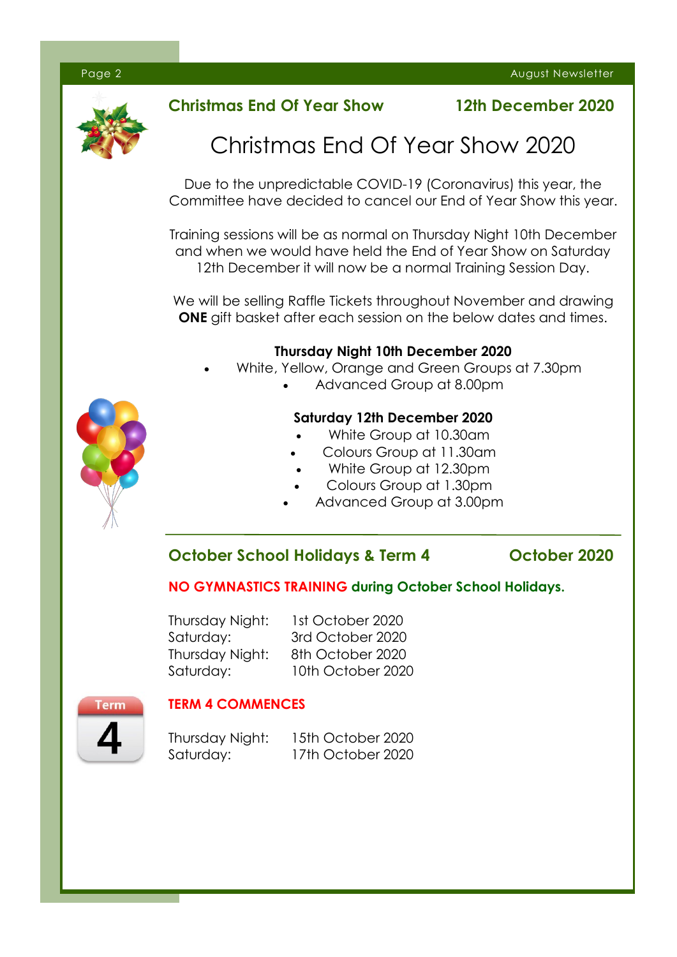

### **Christmas End Of Year Show 12th December 2020**

# Christmas End Of Year Show 2020

Due to the unpredictable COVID-19 (Coronavirus) this year, the Committee have decided to cancel our End of Year Show this year.

Training sessions will be as normal on Thursday Night 10th December and when we would have held the End of Year Show on Saturday 12th December it will now be a normal Training Session Day.

We will be selling Raffle Tickets throughout November and drawing **ONE** gift basket after each session on the below dates and times.

### **Thursday Night 10th December 2020**

- White, Yellow, Orange and Green Groups at 7.30pm
	- Advanced Group at 8.00pm

#### **Saturday 12th December 2020**

- White Group at 10.30am
- Colours Group at 11.30am
- White Group at 12.30pm
- Colours Group at 1.30pm
- Advanced Group at 3.00pm

### **October School Holidays & Term 4 October 2020**

#### **NO GYMNASTICS TRAINING during October School Holidays.**

Thursday Night: 1st October 2020 Saturday: 3rd October 2020 Thursday Night: 8th October 2020 Saturday: 10th October 2020

### **TERM 4 COMMENCES**

Thursday Night: 15th October 2020 Saturday: 17th October 2020



Term